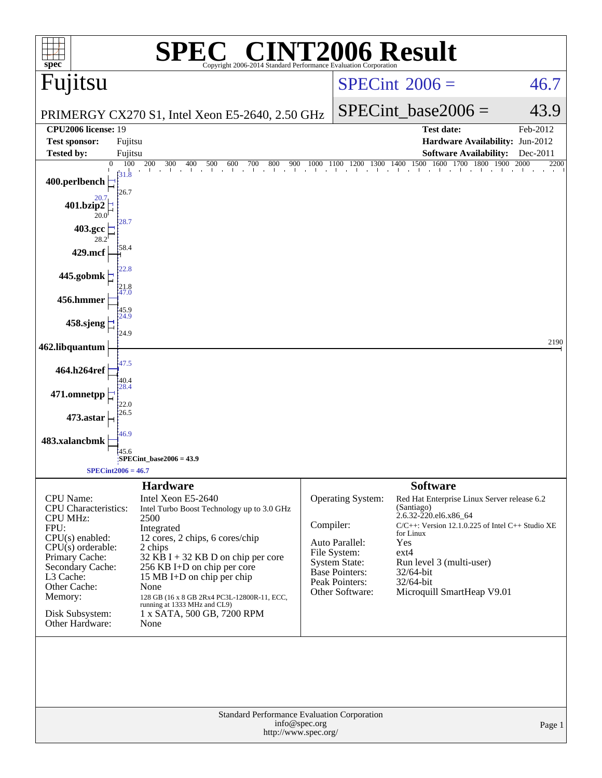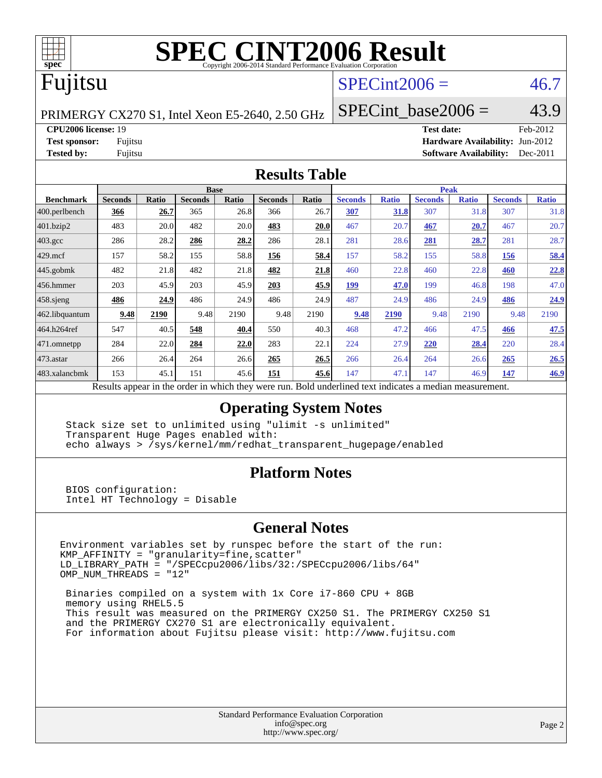

# Fujitsu

# $SPECint2006 = 46.7$  $SPECint2006 = 46.7$

PRIMERGY CX270 S1, Intel Xeon E5-2640, 2.50 GHz

SPECint base2006 =  $43.9$ 

**[CPU2006 license:](http://www.spec.org/auto/cpu2006/Docs/result-fields.html#CPU2006license)** 19 **[Test date:](http://www.spec.org/auto/cpu2006/Docs/result-fields.html#Testdate)** Feb-2012

**[Test sponsor:](http://www.spec.org/auto/cpu2006/Docs/result-fields.html#Testsponsor)** Fujitsu **[Hardware Availability:](http://www.spec.org/auto/cpu2006/Docs/result-fields.html#HardwareAvailability)** Jun-2012 **[Tested by:](http://www.spec.org/auto/cpu2006/Docs/result-fields.html#Testedby)** Fujitsu **[Software Availability:](http://www.spec.org/auto/cpu2006/Docs/result-fields.html#SoftwareAvailability)** Dec-2011

#### **[Results Table](http://www.spec.org/auto/cpu2006/Docs/result-fields.html#ResultsTable)**

|                                                                                                          | <b>Base</b>    |              |                |       |                | <b>Peak</b> |                |              |                |              |                |              |
|----------------------------------------------------------------------------------------------------------|----------------|--------------|----------------|-------|----------------|-------------|----------------|--------------|----------------|--------------|----------------|--------------|
| <b>Benchmark</b>                                                                                         | <b>Seconds</b> | <b>Ratio</b> | <b>Seconds</b> | Ratio | <b>Seconds</b> | Ratio       | <b>Seconds</b> | <b>Ratio</b> | <b>Seconds</b> | <b>Ratio</b> | <b>Seconds</b> | <b>Ratio</b> |
| 400.perlbench                                                                                            | 366            | 26.7         | 365            | 26.8  | 366            | 26.7        | 307            | <b>31.8</b>  | 307            | 31.8         | 307            | 31.8         |
| 401.bzip2                                                                                                | 483            | 20.0         | 482            | 20.0  | 483            | 20.0        | 467            | 20.7         | 467            | 20.7         | 467            | 20.7         |
| $403.\text{gcc}$                                                                                         | 286            | 28.2         | 286            | 28.2  | 286            | 28.1        | 281            | 28.6         | 281            | 28.7         | 281            | 28.7         |
| $429$ .mcf                                                                                               | 157            | 58.2         | 155            | 58.8  | 156            | 58.4        | 157            | 58.2         | 155            | 58.8         | 156            | 58.4         |
| $445$ .gobmk                                                                                             | 482            | 21.8         | 482            | 21.8  | 482            | 21.8        | 460            | 22.8         | 460            | 22.8         | 460            | 22.8         |
| 456.hmmer                                                                                                | 203            | 45.9         | 203            | 45.9  | 203            | 45.9        | 199            | 47.0         | 199            | 46.8         | 198            | 47.0         |
| $458$ sjeng                                                                                              | 486            | 24.9         | 486            | 24.9  | 486            | 24.9        | 487            | 24.9         | 486            | 24.9         | 486            | 24.9         |
| 462.libquantum                                                                                           | 9.48           | 2190         | 9.48           | 2190  | 9.48           | 2190        | 9.48           | 2190         | 9.48           | 2190         | 9.48           | 2190         |
| 464.h264ref                                                                                              | 547            | 40.5         | 548            | 40.4  | 550            | 40.3        | 468            | 47.2         | 466            | 47.5         | 466            | 47.5         |
| 471.omnetpp                                                                                              | 284            | 22.0         | 284            | 22.0  | 283            | 22.1        | 224            | 27.9         | 220            | 28.4         | 220            | 28.4         |
| 473.astar                                                                                                | 266            | 26.4         | 264            | 26.6  | 265            | 26.5        | 266            | 26.4         | 264            | 26.6         | 265            | 26.5         |
| 483.xalancbmk                                                                                            | 153            | 45.1         | 151            | 45.6  | 151            | 45.6        | 147            | 47.1         | 147            | 46.9         | 147            | 46.9         |
| Results appear in the order in which they were run. Bold underlined text indicates a median measurement. |                |              |                |       |                |             |                |              |                |              |                |              |

### **[Operating System Notes](http://www.spec.org/auto/cpu2006/Docs/result-fields.html#OperatingSystemNotes)**

 Stack size set to unlimited using "ulimit -s unlimited" Transparent Huge Pages enabled with: echo always > /sys/kernel/mm/redhat\_transparent\_hugepage/enabled

### **[Platform Notes](http://www.spec.org/auto/cpu2006/Docs/result-fields.html#PlatformNotes)**

 BIOS configuration: Intel HT Technology = Disable

#### **[General Notes](http://www.spec.org/auto/cpu2006/Docs/result-fields.html#GeneralNotes)**

Environment variables set by runspec before the start of the run: KMP\_AFFINITY = "granularity=fine,scatter" LD\_LIBRARY\_PATH = "/SPECcpu2006/libs/32:/SPECcpu2006/libs/64" OMP\_NUM\_THREADS = "12"

 Binaries compiled on a system with 1x Core i7-860 CPU + 8GB memory using RHEL5.5 This result was measured on the PRIMERGY CX250 S1. The PRIMERGY CX250 S1 and the PRIMERGY CX270 S1 are electronically equivalent. For information about Fujitsu please visit: <http://www.fujitsu.com>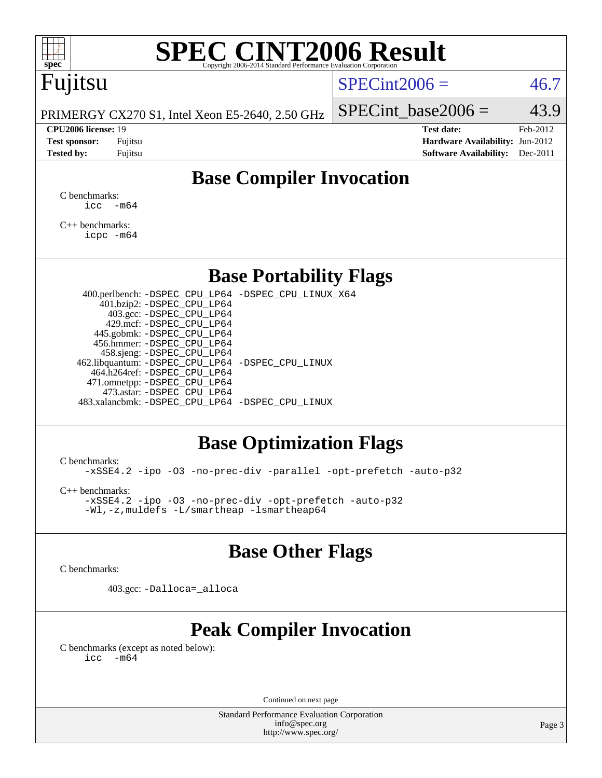

# Fujitsu

### $SPECint2006 = 46.7$  $SPECint2006 = 46.7$

PRIMERGY CX270 S1, Intel Xeon E5-2640, 2.50 GHz

#### **[CPU2006 license:](http://www.spec.org/auto/cpu2006/Docs/result-fields.html#CPU2006license)** 19 **[Test date:](http://www.spec.org/auto/cpu2006/Docs/result-fields.html#Testdate)** Feb-2012

SPECint base2006 =  $43.9$ 

**[Test sponsor:](http://www.spec.org/auto/cpu2006/Docs/result-fields.html#Testsponsor)** Fujitsu **[Hardware Availability:](http://www.spec.org/auto/cpu2006/Docs/result-fields.html#HardwareAvailability)** Jun-2012 **[Tested by:](http://www.spec.org/auto/cpu2006/Docs/result-fields.html#Testedby)** Fujitsu **Fugital Example 2011 [Software Availability:](http://www.spec.org/auto/cpu2006/Docs/result-fields.html#SoftwareAvailability)** Dec-2011

# **[Base Compiler Invocation](http://www.spec.org/auto/cpu2006/Docs/result-fields.html#BaseCompilerInvocation)**

[C benchmarks](http://www.spec.org/auto/cpu2006/Docs/result-fields.html#Cbenchmarks):  $\text{icc}$   $-\text{m64}$ 

[C++ benchmarks:](http://www.spec.org/auto/cpu2006/Docs/result-fields.html#CXXbenchmarks) [icpc -m64](http://www.spec.org/cpu2006/results/res2012q3/cpu2006-20120620-23131.flags.html#user_CXXbase_intel_icpc_64bit_fc66a5337ce925472a5c54ad6a0de310)

### **[Base Portability Flags](http://www.spec.org/auto/cpu2006/Docs/result-fields.html#BasePortabilityFlags)**

 400.perlbench: [-DSPEC\\_CPU\\_LP64](http://www.spec.org/cpu2006/results/res2012q3/cpu2006-20120620-23131.flags.html#b400.perlbench_basePORTABILITY_DSPEC_CPU_LP64) [-DSPEC\\_CPU\\_LINUX\\_X64](http://www.spec.org/cpu2006/results/res2012q3/cpu2006-20120620-23131.flags.html#b400.perlbench_baseCPORTABILITY_DSPEC_CPU_LINUX_X64) 401.bzip2: [-DSPEC\\_CPU\\_LP64](http://www.spec.org/cpu2006/results/res2012q3/cpu2006-20120620-23131.flags.html#suite_basePORTABILITY401_bzip2_DSPEC_CPU_LP64) 403.gcc: [-DSPEC\\_CPU\\_LP64](http://www.spec.org/cpu2006/results/res2012q3/cpu2006-20120620-23131.flags.html#suite_basePORTABILITY403_gcc_DSPEC_CPU_LP64) 429.mcf: [-DSPEC\\_CPU\\_LP64](http://www.spec.org/cpu2006/results/res2012q3/cpu2006-20120620-23131.flags.html#suite_basePORTABILITY429_mcf_DSPEC_CPU_LP64) 445.gobmk: [-DSPEC\\_CPU\\_LP64](http://www.spec.org/cpu2006/results/res2012q3/cpu2006-20120620-23131.flags.html#suite_basePORTABILITY445_gobmk_DSPEC_CPU_LP64) 456.hmmer: [-DSPEC\\_CPU\\_LP64](http://www.spec.org/cpu2006/results/res2012q3/cpu2006-20120620-23131.flags.html#suite_basePORTABILITY456_hmmer_DSPEC_CPU_LP64) 458.sjeng: [-DSPEC\\_CPU\\_LP64](http://www.spec.org/cpu2006/results/res2012q3/cpu2006-20120620-23131.flags.html#suite_basePORTABILITY458_sjeng_DSPEC_CPU_LP64) 462.libquantum: [-DSPEC\\_CPU\\_LP64](http://www.spec.org/cpu2006/results/res2012q3/cpu2006-20120620-23131.flags.html#suite_basePORTABILITY462_libquantum_DSPEC_CPU_LP64) [-DSPEC\\_CPU\\_LINUX](http://www.spec.org/cpu2006/results/res2012q3/cpu2006-20120620-23131.flags.html#b462.libquantum_baseCPORTABILITY_DSPEC_CPU_LINUX) 464.h264ref: [-DSPEC\\_CPU\\_LP64](http://www.spec.org/cpu2006/results/res2012q3/cpu2006-20120620-23131.flags.html#suite_basePORTABILITY464_h264ref_DSPEC_CPU_LP64) 471.omnetpp: [-DSPEC\\_CPU\\_LP64](http://www.spec.org/cpu2006/results/res2012q3/cpu2006-20120620-23131.flags.html#suite_basePORTABILITY471_omnetpp_DSPEC_CPU_LP64) 473.astar: [-DSPEC\\_CPU\\_LP64](http://www.spec.org/cpu2006/results/res2012q3/cpu2006-20120620-23131.flags.html#suite_basePORTABILITY473_astar_DSPEC_CPU_LP64) 483.xalancbmk: [-DSPEC\\_CPU\\_LP64](http://www.spec.org/cpu2006/results/res2012q3/cpu2006-20120620-23131.flags.html#suite_basePORTABILITY483_xalancbmk_DSPEC_CPU_LP64) [-DSPEC\\_CPU\\_LINUX](http://www.spec.org/cpu2006/results/res2012q3/cpu2006-20120620-23131.flags.html#b483.xalancbmk_baseCXXPORTABILITY_DSPEC_CPU_LINUX)

# **[Base Optimization Flags](http://www.spec.org/auto/cpu2006/Docs/result-fields.html#BaseOptimizationFlags)**

[C benchmarks](http://www.spec.org/auto/cpu2006/Docs/result-fields.html#Cbenchmarks):

[-xSSE4.2](http://www.spec.org/cpu2006/results/res2012q3/cpu2006-20120620-23131.flags.html#user_CCbase_f-xSSE42_f91528193cf0b216347adb8b939d4107) [-ipo](http://www.spec.org/cpu2006/results/res2012q3/cpu2006-20120620-23131.flags.html#user_CCbase_f-ipo) [-O3](http://www.spec.org/cpu2006/results/res2012q3/cpu2006-20120620-23131.flags.html#user_CCbase_f-O3) [-no-prec-div](http://www.spec.org/cpu2006/results/res2012q3/cpu2006-20120620-23131.flags.html#user_CCbase_f-no-prec-div) [-parallel](http://www.spec.org/cpu2006/results/res2012q3/cpu2006-20120620-23131.flags.html#user_CCbase_f-parallel) [-opt-prefetch](http://www.spec.org/cpu2006/results/res2012q3/cpu2006-20120620-23131.flags.html#user_CCbase_f-opt-prefetch) [-auto-p32](http://www.spec.org/cpu2006/results/res2012q3/cpu2006-20120620-23131.flags.html#user_CCbase_f-auto-p32)

[C++ benchmarks:](http://www.spec.org/auto/cpu2006/Docs/result-fields.html#CXXbenchmarks)

[-xSSE4.2](http://www.spec.org/cpu2006/results/res2012q3/cpu2006-20120620-23131.flags.html#user_CXXbase_f-xSSE42_f91528193cf0b216347adb8b939d4107) [-ipo](http://www.spec.org/cpu2006/results/res2012q3/cpu2006-20120620-23131.flags.html#user_CXXbase_f-ipo) [-O3](http://www.spec.org/cpu2006/results/res2012q3/cpu2006-20120620-23131.flags.html#user_CXXbase_f-O3) [-no-prec-div](http://www.spec.org/cpu2006/results/res2012q3/cpu2006-20120620-23131.flags.html#user_CXXbase_f-no-prec-div) [-opt-prefetch](http://www.spec.org/cpu2006/results/res2012q3/cpu2006-20120620-23131.flags.html#user_CXXbase_f-opt-prefetch) [-auto-p32](http://www.spec.org/cpu2006/results/res2012q3/cpu2006-20120620-23131.flags.html#user_CXXbase_f-auto-p32) [-Wl,-z,muldefs](http://www.spec.org/cpu2006/results/res2012q3/cpu2006-20120620-23131.flags.html#user_CXXbase_link_force_multiple1_74079c344b956b9658436fd1b6dd3a8a) [-L/smartheap -lsmartheap64](http://www.spec.org/cpu2006/results/res2012q3/cpu2006-20120620-23131.flags.html#user_CXXbase_SmartHeap64_5e654037dadeae1fe403ab4b4466e60b)

## **[Base Other Flags](http://www.spec.org/auto/cpu2006/Docs/result-fields.html#BaseOtherFlags)**

[C benchmarks](http://www.spec.org/auto/cpu2006/Docs/result-fields.html#Cbenchmarks):

403.gcc: [-Dalloca=\\_alloca](http://www.spec.org/cpu2006/results/res2012q3/cpu2006-20120620-23131.flags.html#b403.gcc_baseEXTRA_CFLAGS_Dalloca_be3056838c12de2578596ca5467af7f3)

# **[Peak Compiler Invocation](http://www.spec.org/auto/cpu2006/Docs/result-fields.html#PeakCompilerInvocation)**

[C benchmarks \(except as noted below\)](http://www.spec.org/auto/cpu2006/Docs/result-fields.html#Cbenchmarksexceptasnotedbelow):  $\text{icc}$  -m64

Continued on next page

Standard Performance Evaluation Corporation [info@spec.org](mailto:info@spec.org) <http://www.spec.org/>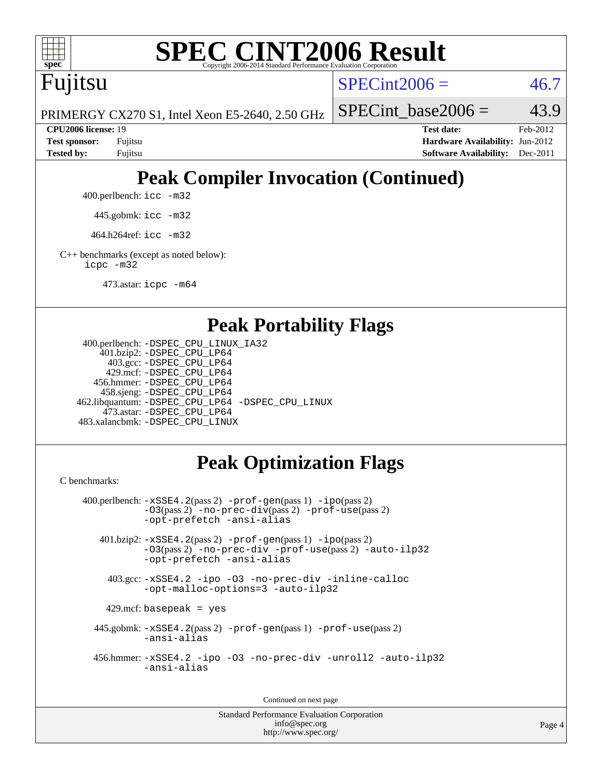

Fujitsu

 $SPECint2006 = 46.7$  $SPECint2006 = 46.7$ 

PRIMERGY CX270 S1, Intel Xeon E5-2640, 2.50 GHz

SPECint base2006 =  $43.9$ 

**[CPU2006 license:](http://www.spec.org/auto/cpu2006/Docs/result-fields.html#CPU2006license)** 19 **[Test date:](http://www.spec.org/auto/cpu2006/Docs/result-fields.html#Testdate)** Feb-2012 **[Test sponsor:](http://www.spec.org/auto/cpu2006/Docs/result-fields.html#Testsponsor)** Fujitsu **[Hardware Availability:](http://www.spec.org/auto/cpu2006/Docs/result-fields.html#HardwareAvailability)** Jun-2012 **[Tested by:](http://www.spec.org/auto/cpu2006/Docs/result-fields.html#Testedby)** Fujitsu **[Software Availability:](http://www.spec.org/auto/cpu2006/Docs/result-fields.html#SoftwareAvailability)** Dec-2011

# **[Peak Compiler Invocation \(Continued\)](http://www.spec.org/auto/cpu2006/Docs/result-fields.html#PeakCompilerInvocation)**

400.perlbench: [icc -m32](http://www.spec.org/cpu2006/results/res2012q3/cpu2006-20120620-23131.flags.html#user_peakCCLD400_perlbench_intel_icc_a6a621f8d50482236b970c6ac5f55f93)

445.gobmk: [icc -m32](http://www.spec.org/cpu2006/results/res2012q3/cpu2006-20120620-23131.flags.html#user_peakCCLD445_gobmk_intel_icc_a6a621f8d50482236b970c6ac5f55f93)

464.h264ref: [icc -m32](http://www.spec.org/cpu2006/results/res2012q3/cpu2006-20120620-23131.flags.html#user_peakCCLD464_h264ref_intel_icc_a6a621f8d50482236b970c6ac5f55f93)

[C++ benchmarks \(except as noted below\):](http://www.spec.org/auto/cpu2006/Docs/result-fields.html#CXXbenchmarksexceptasnotedbelow) [icpc -m32](http://www.spec.org/cpu2006/results/res2012q3/cpu2006-20120620-23131.flags.html#user_CXXpeak_intel_icpc_4e5a5ef1a53fd332b3c49e69c3330699)

473.astar: [icpc -m64](http://www.spec.org/cpu2006/results/res2012q3/cpu2006-20120620-23131.flags.html#user_peakCXXLD473_astar_intel_icpc_64bit_fc66a5337ce925472a5c54ad6a0de310)

## **[Peak Portability Flags](http://www.spec.org/auto/cpu2006/Docs/result-fields.html#PeakPortabilityFlags)**

```
 400.perlbench: -DSPEC_CPU_LINUX_IA32
    401.bzip2: -DSPEC_CPU_LP64
      403.gcc: -DSPEC_CPU_LP64
     429.mcf: -DSPEC_CPU_LP64
   456.hmmer: -DSPEC_CPU_LP64
    458.sjeng: -DSPEC_CPU_LP64
462.libquantum: -DSPEC_CPU_LP64 -DSPEC_CPU_LINUX
     473.astar: -DSPEC_CPU_LP64
483.xalancbmk: -DSPEC_CPU_LINUX
```
# **[Peak Optimization Flags](http://www.spec.org/auto/cpu2006/Docs/result-fields.html#PeakOptimizationFlags)**

[C benchmarks](http://www.spec.org/auto/cpu2006/Docs/result-fields.html#Cbenchmarks):

```
 400.perlbench: -xSSE4.2(pass 2) -prof-gen(pass 1) -ipo(pass 2)
           -O3(pass 2) -no-prec-div(pass 2) -prof-use(pass 2)
          -opt-prefetch -ansi-alias
   401.bzip2: -xSSE4.2(pass 2) -prof-gen(pass 1) -ipo(pass 2)
           -O3(pass 2) -no-prec-div -prof-use(pass 2) -auto-ilp32
           -opt-prefetch -ansi-alias
    403.gcc: -xSSE4.2 -ipo -O3 -no-prec-div -inline-calloc
           -opt-malloc-options=3 -auto-ilp32
   429.mcf: basepeak = yes
  445.gobmk: -xSSE4.2(pass 2) -prof-gen(pass 1) -prof-use(pass 2)
           -ansi-alias
  456.hmmer: -xSSE4.2 -ipo -O3 -no-prec-div -unroll2 -auto-ilp32
           -ansi-alias
```
Continued on next page

Standard Performance Evaluation Corporation [info@spec.org](mailto:info@spec.org) <http://www.spec.org/>